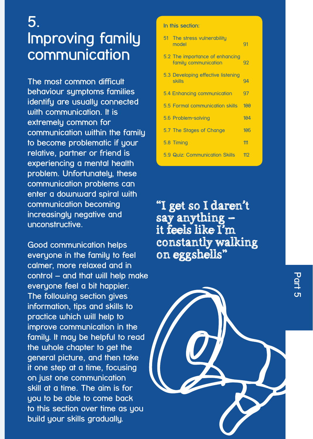## **5. Improving family communication**

**The most common difficult behaviour symptoms families identify are usually connected with communication. It is extremely common for communication within the family to become problematic if your relative, partner or friend is experiencing a mental health problem. Unfortunately, these communication problems can enter a downward spiral with communication becoming increasingly negative and unconstructive.** 

**Good communication helps everyone in the family to feel calmer, more relaxed and in control – and that will help make everyone feel a bit happier. The following section gives information, tips and skills to practice which will help to improve communication in the family. It may be helpful to read the whole chapter to get the general picture, and then take it one step at a time, focusing on just one communication skill at a time. The aim is for you to be able to come back to this section over time as you build your skills gradually.**

## **In this section:**

| 51 The stress vulnerability<br>model                    | 91  |
|---------------------------------------------------------|-----|
| 5.2 The importance of enhancing<br>family communication | 92  |
| 5.3 Developing effective listening<br><b>skills</b>     | 94  |
| 5.4 Enhancing communication                             | 97  |
| 5.5 Formal communication skills                         | 100 |
| 5.6 Problem-solving                                     | 104 |
| 5.7 The Stages of Change                                | 106 |
| 5.8 Timing                                              | 111 |
| 5.9 Quiz: Communication Skills                          | 112 |

"I get so I daren't say anything – it feels like I'm constantly walking on eggshells"

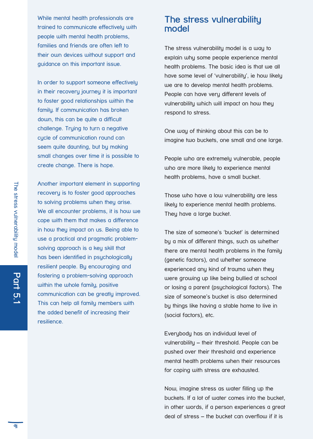While mental health professionals are trained to communicate effectively with people with mental health problems, families and friends are often left to their own devices without support and guidance on this important issue.

In order to support someone effectively in their recovery journey it is important to foster good relationships within the family. If communication has broken down, this can be quite a difficult challenge. Truing to turn a negative cucle of communication round can seem quite daunting, but by making small changes over time it is possible to create change. There is hope.

Another important element in supporting recovery is to foster good approaches to solving problems when they arise. We all encounter problems, it is how we cope with them that makes a difference in how they impact on us. Being able to use a practical and pragmatic problemsolving approach is a key skill that has been identified in psychologically resilient people. By encouraging and fostering a problem-solving approach within the whole family, positive communication can be greatly improved. This can help all family members with the added benefit of increasing their resilience.

## **The stress vulnerability model**

The stress vulnerability model is a way to explain why some people experience mental health problems. The basic idea is that we all have some level of 'vulnerability', ie how likely we are to develop mental health problems. People can have very different levels of vulnerability which will impact on how they respond to stress.

One way of thinking about this can be to imagine two buckets, one small and one large.

People who are extremely vulnerable, people who are more likely to experience mental health problems, have a small bucket.

Those who have a low vulnerability are less likely to experience mental health problems. They have a large bucket.

The size of someone's 'bucket' is determined by a mix of different things, such as whether there are mental health problems in the family (genetic factors), and whether someone experienced any kind of trauma when they were growing up like being bullied at school or losing a parent (psychological factors). The size of someone's bucket is also determined by things like having a stable home to live in (social factors), etc.

Everybody has an individual level of vulnerability – their threshold. People can be pushed over their threshold and experience mental health problems when their resources for coping with stress are exhausted.

Now, imagine stress as water filling up the buckets. If a lot of water comes into the bucket, in other words, if a person experiences a great deal of stress – the bucket can overflow if it is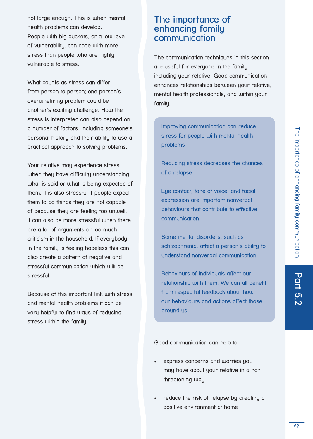not large enough. This is when mental health problems can develop. People with big buckets, or a low level of vulnerability, can cope with more stress than people who are highly vulnerable to stress.

What counts as stress can differ from person to person; one person's overwhelming problem could be another's exciting challenge. How the stress is interpreted can also depend on a number of factors, including someone's personal history and their ability to use a practical approach to solving problems.

Your relative may experience stress when they have difficulty understanding what is said or what is being expected of them. It is also stressful if people expect them to do things they are not capable of because they are feeling too unwell. It can also be more stressful when there are a lot of arguments or too much criticism in the household. If everybody in the family is feeling hopeless this can also create a pattern of negative and stressful communication which will be stressful.

Because of this important link with stress and mental health problems it can be very helpful to find ways of reducing stress within the family.

## **The importance of enhancing family communication**

The communication techniques in this section are useful for everyone in the family – including your relative. Good communication enhances relationships between your relative, mental health professionals, and within your family.

Improving communication can reduce stress for people with mental health problems

Reducing stress decreases the chances of a relapse

Eye contact, tone of voice, and facial expression are important nonverbal behaviours that contribute to effective communication

Some mental disorders, such as schizophrenia, affect a person's ability to understand nonverbal communication

Behaviours of individuals affect our relationship with them. We can all benefit from respectful feedback about how our behaviours and actions affect those around us.

Good communication can help to:

- express concerns and worries you may have about your relative in a nonthreatening way
- reduce the risk of relapse by creating a positive environment at home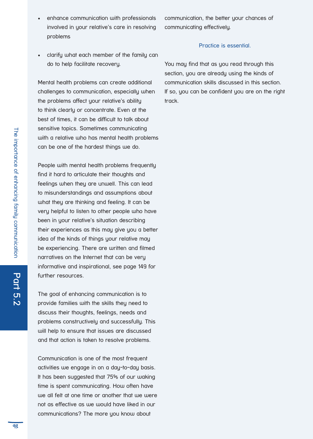- enhance communication with professionals involved in your relative's care in resolving problems
- clarify what each member of the family can do to help facilitate recovery.

Mental health problems can create additional challenges to communication, especially when the problems affect your relative's ability to think clearly or concentrate. Even at the best of times, it can be difficult to talk about sensitive topics. Sometimes communicating with a relative who has mental health problems can be one of the hardest things we do.

People with mental health problems frequently find it hard to articulate their thoughts and feelings when they are unwell. This can lead to misunderstandings and assumptions about what they are thinking and feeling. It can be very helpful to listen to other people who have been in your relative's situation describing their experiences as this may give you a better idea of the kinds of things your relative may be experiencing. There are written and filmed narratives on the Internet that can be very informative and inspirational, see page 149 for further resources.

The goal of enhancing communication is to provide families with the skills they need to discuss their thoughts, feelings, needs and problems constructively and successfully. This will help to ensure that issues are discussed and that action is taken to resolve problems.

Communication is one of the most frequent activities we engage in on a day-to-day basis. It has been suggested that 75% of our waking time is spent communicating. How often have we all felt at one time or another that we were not as effective as we would have liked in our communications? The more you know about

communication, the better your chances of communicating effectively.

## Practice is essential.

You may find that as you read through this section, you are already using the kinds of communication skills discussed in this section. If so, you can be confident you are on the right track.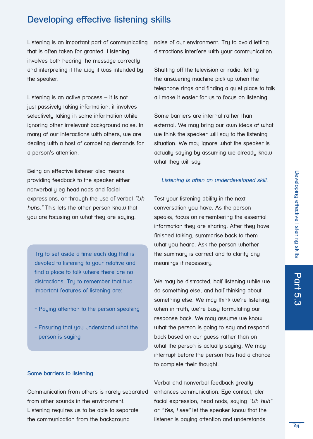## **Developing effective listening skills**

Listening is an important part of communicating that is often taken for granted. Listening involves both hearing the message correctly and interpreting it the way it was intended by the speaker.

Listening is an active process – it is not just passively taking information, it involves selectively taking in some information while ignoring other irrelevant background noise. In many of our interactions with others, we are dealing with a host of competing demands for a person's attention.

Being an effective listener also means providing feedback to the speaker either nonverbally eg head nods and facial expressions, or through the use of verbal "Uh huhs." This lets the other person know that you are focusing on what they are saying.

Try to set aside a time each day that is devoted to listening to your relative and find a place to talk where there are no distractions. Try to remember that two important features of listening are:

- Paying attention to the person speaking
- Ensuring that you understand what the person is saying

## **Some barriers to listening**

Communication from others is rarely separated from other sounds in the environment. Listening requires us to be able to separate the communication from the background

noise of our environment. Try to avoid letting distractions interfere with your communication.

Shutting off the television or radio, letting the answering machine pick up when the telephone rings and finding a quiet place to talk all make it easier for us to focus on listening.

Some barriers are internal rather than external. We may bring our own ideas of what we think the speaker will say to the listening situation. We may ignore what the speaker is actually saying by assuming we already know what they will say.

## Listening is often an underdeveloped skill.

Test your listening ability in the next conversation you have. As the person speaks, focus on remembering the essential information they are sharing. After they have finished talking, summarise back to them what you heard. Ask the person whether the summary is correct and to clarify any meanings if necessary.

We may be distracted, half listening while we do something else, and half thinking about something else. We may think we're listening, when in truth, we're busy formulating our response back. We may assume we know what the person is going to say and respond back based on our guess rather than on what the person is actually saying. We may interrupt before the person has had a chance to complete their thought.

Verbal and nonverbal feedback greatly enhances communication. Eye contact, alert facial expression, head nods, saying "Uh-huh" or "Yes, I see" let the speaker know that the listener is paying attention and understands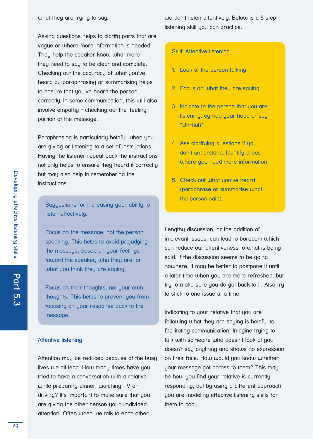Asking questions helps to clarify parts that are vague or where more information is needed. They help the speaker know what more they need to say to be clear and complete. Checking out the accuracy of what you've heard by paraphrasing or summarising helps to ensure that you've heard the person correctly. In some communication, this will also involve empathy - checking out the 'feeling' portion of the message.

Paraphrasing is particularly helpful when you are giving or listening to a set of instructions. Having the listener repeat back the instructions not only helps to ensure they heard it correctly but may also help in remembering the instructions.

Suggestions for increasing your ability to listen effectively:

Focus on the message, not the person speaking. This helps to avoid prejudging the message, based on your feelings toward the speaker, who they are, or what you think they are saying.

Focus on their thoughts, not your own thoughts. This helps to prevent you from focusing on your response back to the message.

#### **Attentive listening**

Attention may be reduced because of the busy lives we all lead. How many times have you tried to have a conversation with a relative while preparing dinner, watching TV or driving? It's important to make sure that you are giving the other person your undivided attention. Often when we talk to each other,

we don't listen attentively. Below is a 5 step listening skill you can practice.

#### Skill: Attentive listening

- 1. Look at the person talking
- 2. Focus on what they are saying
- 3. Indicate to the person that you are listening, eg nod your head or say "Uh-huh"
- 4. Ask clarifying questions if you don't understand. Identifu areas where you need more information
- 5. Check out what you've heard (paraphrase or summarise what the person said).

Lengthy discussion, or the addition of irrelevant issues, can lead to boredom which can reduce our attentiveness to what is being said. If the discussion seems to be going nowhere, it may be better to postpone it until a later time when you are more refreshed, but try to make sure you do get back to it. Also try to stick to one issue at a time.

Indicating to your relative that you are following what they are saying is helpful to facilitating communication. Imagine trying to talk with someone who doesn't look at you, doesn't say anything and shows no expression on their face. How would you know whether your message got across to them? This may be how you find your relative is currently responding, but by using a different approach you are modeling effective listening skills for them to copy.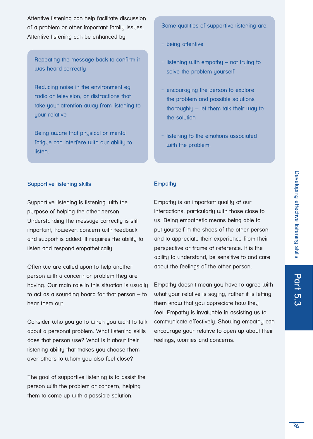Attentive listening can help facilitate discussion of a problem or other important family issues. Attentive listening can be enhanced by:

Repeating the message back to confirm it was heard correctly

Reducing noise in the environment eg radio or television, or distractions that take your attention away from listening to your relative

Being aware that physical or mental fatigue can interfere with our ability to listen.

Some qualities of supportive listening are:

- being attentive
- listening with empathy not trying to solve the problem yourself
- encouraging the person to explore the problem and possible solutions thoroughly – let them talk their way to the solution
- listening to the emotions associated with the problem.

## **Supportive listening skills**

Supportive listening is listening with the purpose of helping the other person. Understanding the message correctly is still important, however, concern with feedback and support is added. It requires the ability to listen and respond empathetically.

Often we are called upon to help another person with a concern or problem they are having. Our main role in this situation is usually to act as a sounding board for that person – to hear them out.

Consider who you go to when you want to talk about a personal problem. What listening skills does that person use? What is it about their listening ability that makes you choose them over others to whom you also feel close?

The goal of supportive listening is to assist the person with the problem or concern, helping them to come up with a possible solution.

## **Empathy**

Empathy is an important quality of our interactions, particularly with those close to us. Being empathetic means being able to put yourself in the shoes of the other person and to appreciate their experience from their perspective or frame of reference. It is the ability to understand, be sensitive to and care about the feelings of the other person.

Empathy doesn't mean you have to agree with what your relative is saying, rather it is letting them know that you appreciate how they feel. Empathy is invaluable in assisting us to communicate effectively. Showing empathy can encourage your relative to open up about their feelings, worries and concerns.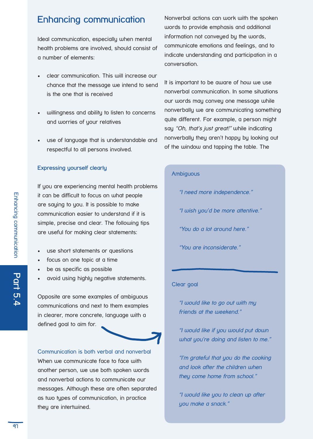## **Enhancing communication**

Ideal communication, especially when mental health problems are involved, should consist of a number of elements:

- clear communication. This will increase our chance that the message we intend to send is the one that is received
- willingness and ability to listen to concerns and worries of your relatives
- use of language that is understandable and respectful to all persons involved.

## **Expressing yourself clearly**

If you are experiencing mental health problems it can be difficult to focus on what people are saying to you. It is possible to make communication easier to understand if it is simple, precise and clear. The following tips are useful for making clear statements:

- use short statements or questions
- focus on one topic at a time
- be as specific as possible
- • avoid using highly negative statements.

Opposite are some examples of ambiguous communications and next to them examples in clearer, more concrete, language with a defined goal to aim for.

Communication is both verbal and nonverbal When we communicate face to face with another person, we use both spoken words and nonverbal actions to communicate our messages. Although these are often separated as two types of communication, in practice they are intertwined.

Nonverbal actions can work with the spoken words to provide emphasis and additional information not conveyed by the words, communicate emotions and feelings, and to indicate understanding and participation in a conversation.

It is important to be aware of how we use nonverbal communication. In some situations our words may convey one message while nonverbally we are communicating something quite different. For example, a person might say "Oh, that's just great!" while indicating nonverbally they aren't happy by looking out of the window and tapping the table. The

## **Ambiguous**

"I need more independence."

"I wish you'd be more attentive."

"You do a lot around here."

"You are inconsiderate."

## Clear goal

"I would like to go out with my friends at the weekend."

"I would like if you would put down what you're doing and listen to me."

"I'm grateful that you do the cooking and look after the children when they come home from school."

"I would like you to clean up after you make a snack."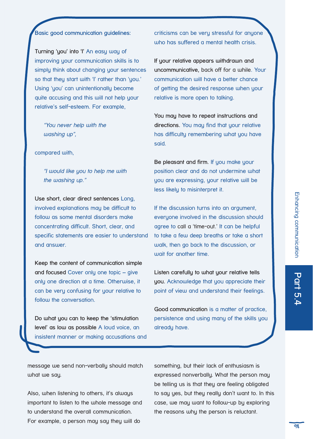## **Basic good communication guidelines:**

**Turning 'you' into 'I'** An easy way of improving your communication skills is to simply think about changing your sentences so that they start with 'I' rather than 'you.' Using 'you' can unintentionally become quite accusing and this will not help your relative's self-esteem. For example,

"You never help with the washing up",

compared with,

"I would like you to help me with the washing up."

**Use short, clear direct sentences** Long, involved explanations may be difficult to follow as some mental disorders make concentrating difficult. Short, clear, and specific statements are easier to understand and answer.

**Keep the content of communication simple and focused** Cover only one topic – give only one direction at a time. Otherwise, it can be very confusing for your relative to follow the conversation.

**Do what you can to keep the 'stimulation level' as low as possible** A loud voice, an insistent manner or making accusations and criticisms can be very stressful for anyone who has suffered a mental health crisis.

**If your relative appears withdrawn and uncommunicative,** back off for a while. Your communication will have a better chance of getting the desired response when your relative is more open to talking.

**You may have to repeat instructions and directions.** You may find that your relative has difficulty remembering what you have said.

**Be pleasant and firm.** If you make your position clear and do not undermine what you are expressing, your relative will be less likely to misinterpret it.

If the discussion turns into an argument, everyone involved in the discussion should agree to call a 'time-out.' It can be helpful to take a few deep breaths or take a short walk, then go back to the discussion, or wait for another time.

**Listen carefully to what your relative tells you.** Acknowledge that you appreciate their point of view and understand their feelings.

**Good communication** is a matter of practice, persistence and using many of the skills you already have.

message we send non-verbally should match what we say.

Also, when listening to others, it's always important to listen to the whole message and to understand the overall communication. For example, a person may say they will do

something, but their lack of enthusiasm is expressed nonverbally. What the person may be telling us is that they are feeling obligated to say yes, but they really don't want to. In this case, we may want to follow-up by exploring the reasons why the person is reluctant.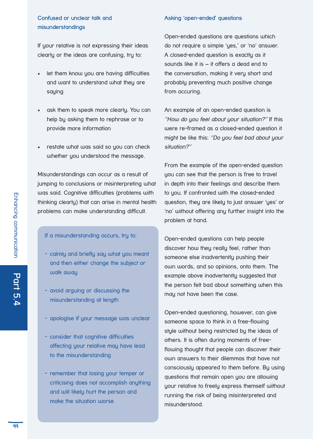## **Confused or unclear talk and misunderstandings**

If your relative is not expressing their ideas clearly or the ideas are confusing, try to:

- let them know you are having difficulties and want to understand what they are saying
- ask them to speak more clearly. You can help by asking them to rephrase or to provide more information
- restate what was said so you can check whether you understood the message.

Misunderstandings can occur as a result of jumping to conclusions or misinterpreting what was said. Cognitive difficulties (problems with thinking clearly) that can arise in mental health problems can make understanding difficult.

## If a misunderstanding occurs, try to:

- calmly and briefly say what you meant and then either change the subject or walk away
- avoid arguing or discussing the misunderstanding at length
- apologise if your message was unclear
- consider that cognitive difficulties affecting your relative may have lead to the misunderstanding
- remember that losing your temper or criticising does not accomplish anything and will likely hurt the person and make the situation worse

## **Asking 'open-ended' questions**

Open-ended questions are questions which do not require a simple 'yes,' or 'no' answer. A closed-ended question is exactly as it sounds like it is – it offers a dead end to the conversation, making it very short and probably preventing much positive change from occuring.

An example of an open-ended question is ''How do you feel about your situation?'' If this were re-framed as a closed-ended question it might be like this: ''Do you feel bad about your situation?''

From the example of the open-ended question you can see that the person is free to travel in depth into their feelings and describe them to you. If confronted with the closed-ended question, they are likely to just answer 'yes' or 'no' without offering any further insight into the problem at hand.

Open-ended questions can help people discover how they really feel, rather than someone else inadvertently pushing their own words, and so opinions, onto them. The example above inadvertently suggested that the person felt bad about something when this may not have been the case.

Open-ended questioning, however, can give someone space to think in a free-flowing style without being restricted by the ideas of others. It is often during moments of freeflowing thought that people can discover their own answers to their dilemmas that have not consciously appeared to them before. By using questions that remain open you are allowing your relative to freely express themself without running the risk of being misinterpreted and misunderstood.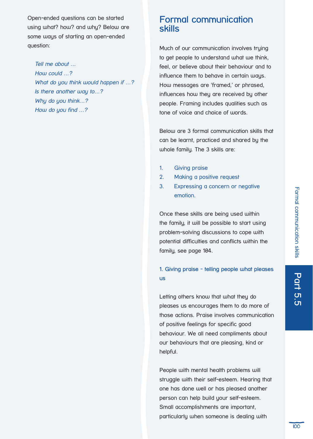Open-ended questions can be started using what? how? and why? Below are some ways of starting an open-ended question:

Tell me about … How could …? What do you think would happen if ...? Is there another way to…? Why do you think...? How do you find …?

## **Formal communication skills**

Much of our communication involves trying to get people to understand what we think, feel, or believe about their behaviour and to influence them to behave in certain ways. How messages are 'framed,' or phrased, influences how they are received by other people. Framing includes qualities such as tone of voice and choice of words.

Below are 3 formal communication skills that can be learnt, practiced and shared by the whole family. The 3 skills are:

- 1. Giving praise
- 2. Making a positive request
- 3. Expressing a concern or negative emotion.

Once these skills are being used within the family, it will be possible to start using problem-solving discussions to cope with potential difficulties and conflicts within the family, see page 104.

## **1. Giving praise - telling people what pleases us**

Letting others know that what they do pleases us encourages them to do more of those actions. Praise involves communication of positive feelings for specific good behaviour. We all need compliments about our behaviours that are pleasing, kind or helpful.

People with mental health problems will struggle with their self-esteem. Hearing that one has done well or has pleased another person can help build your self-esteem. Small accomplishments are important, particularly when someone is dealing with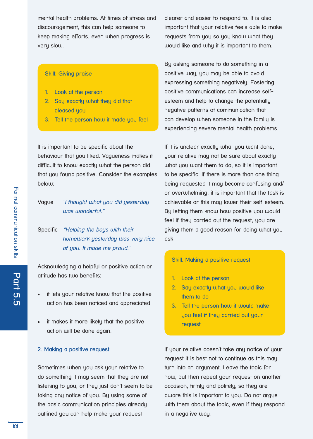mental health problems. At times of stress and discouragement, this can help someone to keep making efforts, even when progress is very slow.

## Skill: Giving praise

- 1. Look at the person
- 2. Say exactly what they did that pleased you
- 3. Tell the person how it made you feel

It is important to be specific about the behaviour that you liked. Vagueness makes it difficult to know exactly what the person did that you found positive. Consider the examples below:

## Vague "I thought what you did yesterday was wonderful."

Specific "Helping the boys with their homework yesterday was very nice of you. It made me proud."

Acknowledging a helpful or positive action or attitude has two benefits:

- it lets your relative know that the positive action has been noticed and appreciated
- it makes it more likely that the positive action will be done again.

#### **2. Making a positive request**

Sometimes when you ask your relative to do something it may seem that they are not listening to you, or they just don't seem to be taking any notice of you. By using some of the basic communication principles already outlined you can help make your request

clearer and easier to respond to. It is also important that your relative feels able to make requests from you so you know what they would like and why it is important to them.

By asking someone to do something in a positive way, you may be able to avoid expressing something negatively. Fostering positive communications can increase selfesteem and help to change the potentially negative patterns of communication that can develop when someone in the family is experiencing severe mental health problems.

If it is unclear exactly what you want done, your relative may not be sure about exactly what you want them to do, so it is important to be specific. If there is more than one thing being requested it may become confusing and/ or overwhelming, it is important that the task is achievable or this may lower their self-esteem. By letting them know how positive you would feel if they carried out the request, you are giving them a good reason for doing what you ask.

#### Skill: Making a positive request

- 1. Look at the person
- 2. Say exactly what you would like them to do
- 3. Tell the person how it would make you feel if they carried out your request

If your relative doesn't take any notice of your request it is best not to continue as this may turn into an argument. Leave the topic for now, but then repeat your request on another occasion, firmly and politely, so they are aware this is important to you. Do not argue with them about the topic, even if they respond in a negative way.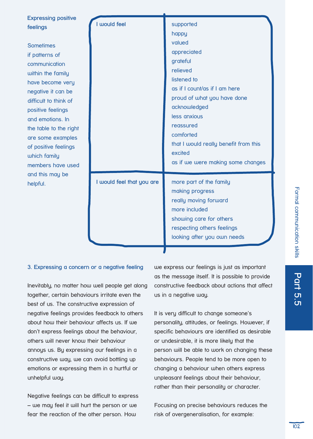| <b>Expressing positive</b><br>feelings<br><b>Sometimes</b><br>if patterns of<br>communication<br>within the family<br>have become very<br>negative it can be<br>difficult to think of<br>positive feelings<br>and emotions. In<br>the table to the right<br>are some examples<br>of positive feelings<br>which family<br>members have used | I would feel              | supported<br>happy<br>valued<br>appreciated<br>grateful<br>relieved<br>listened to<br>as if I count/as if I am here<br>proud of what you have done<br>acknowledged<br>less anxious<br>reassured<br>comforted<br>that I would really benefit from this<br>excited<br>as if we were making some changes |
|--------------------------------------------------------------------------------------------------------------------------------------------------------------------------------------------------------------------------------------------------------------------------------------------------------------------------------------------|---------------------------|-------------------------------------------------------------------------------------------------------------------------------------------------------------------------------------------------------------------------------------------------------------------------------------------------------|
| and this may be<br>helpful.                                                                                                                                                                                                                                                                                                                | I would feel that you are | more part of the family<br>making progress<br>really moving forward<br>more included<br>showing care for others<br>respecting others feelings<br>looking after you own needs                                                                                                                          |

## **3. Expressing a concern or a negative feeling**

Inevitably, no matter how well people get along together, certain behaviours irritate even the best of us. The constructive expression of negative feelings provides feedback to others about how their behaviour affects us. If we don't express feelings about the behaviour, others will never know their behaviour annoys us. By expressing our feelings in a constructive way, we can avoid bottling up emotions or expressing them in a hurtful or unhelpful way.

Negative feelings can be difficult to express – we may feel it will hurt the person or we fear the reaction of the other person. How

we express our feelings is just as important as the message itself. It is possible to provide constructive feedback about actions that affect us in a negative way.

It is very difficult to change someone's personality, attitudes, or feelings. However, if specific behaviours are identified as desirable or undesirable, it is more likely that the person will be able to work on changing these behaviours. People tend to be more open to changing a behaviour when others express unpleasant feelings about their behaviour, rather than their personality or character.

Focusing on precise behaviours reduces the risk of overgeneralisation, for example: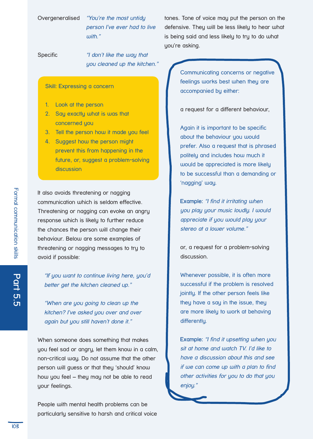## Overgeneralised "You're the most untidy person I've ever had to live with."

Specific **"** don't like the way that you cleaned up the kitchen."

## Skill: Expressing a concern

- 1. Look at the person
- 2. Say exactly what is was that concerned you
- 3. Tell the person how it made you feel
- 4. Suggest how the person might prevent this from happening in the future, or, suggest a problem-solving discussion

It also avoids threatening or nagging communication which is seldom effective. Threatening or nagging can evoke an angry response which is likely to further reduce the chances the person will change their behaviour. Below are some examples of threatening or nagging messages to try to avoid if possible:

"If you want to continue living here, you'd better get the kitchen cleaned up."

"When are you going to clean up the kitchen? I've asked you over and over again but you still haven't done it."

When someone does something that makes you feel sad or angry, let them know in a calm, non-critical way. Do not assume that the other person will guess or that they 'should' know how you feel – they may not be able to read your feelings.

People with mental health problems can be particularly sensitive to harsh and critical voice tones. Tone of voice may put the person on the defensive. They will be less likely to hear what is being said and less likely to try to do what you're asking.

> Communicating concerns or negative feelings works best when they are accompanied by either:

a request for a different behaviour,

Again it is important to be specific about the behaviour you would prefer. Also a request that is phrased politely and includes how much it would be appreciated is more likely to be successful than a demanding or 'nagging' way.

**Example:** "I find it irritating when you play your music loudly. I would appreciate if you would play your stereo at a lower volume."

or, a request for a problem-solving discussion.

Whenever possible, it is often more successful if the problem is resolved jointly. If the other person feels like they have a say in the issue, they are more likely to work at behaving differently.

**Example:** "I find it upsetting when you sit at home and watch TV. I'd like to have a discussion about this and see if we can come up with a plan to find other activities for you to do that you enjoy."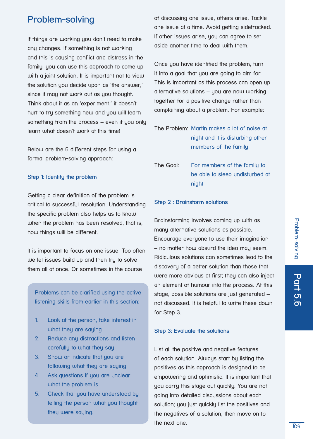## **Problem-solving**

If things are working you don't need to make any changes. If something is not working and this is causing conflict and distress in the family, you can use this approach to come up with a joint solution. It is important not to view the solution you decide upon as 'the answer,' since it may not work out as you thought. Think about it as an 'experiment,' it doesn't hurt to try something new and you will learn something from the process – even if you only learn what doesn't work at this time!

Below are the 6 different steps for using a formal problem-solving approach:

## **Step 1: Identify the problem**

Getting a clear definition of the problem is critical to successful resolution. Understanding the specific problem also helps us to know when the problem has been resolved, that is, how things will be different.

It is important to focus on one issue. Too often we let issues build up and then try to solve them all at once. Or sometimes in the course

Problems can be clarified using the active listening skills from earlier in this section:

- 1. Look at the person, take interest in what they are saying
- 2. Reduce any distractions and listen carefully to what they say
- 3. Show or indicate that you are following what they are saying
- 4. Ask questions if you are unclear what the problem is
- 5. Check that you have understood by telling the person what you thought they were saying.

of discussing one issue, others arise. Tackle one issue at a time. Avoid getting sidetracked. If other issues arise, you can agree to set aside another time to deal with them.

Once you have identified the problem, turn it into a goal that you are going to aim for. This is important as this process can open up alternative solutions – you are now working together for a positive change rather than complaining about a problem. For example:

## The Problem: Martin makes a lot of noise at night and it is disturbing other members of the family

The Goal: For members of the family to be able to sleep undisturbed at night

## **Step 2 : Brainstorm solutions**

Brainstorming involves coming up with as many alternative solutions as possible. Encourage everyone to use their imagination – no matter how absurd the idea may seem. Ridiculous solutions can sometimes lead to the discovery of a better solution than those that were more obvious at first; they can also inject an element of humour into the process. At this stage, possible solutions are just generated – not discussed. It is helpful to write these down for Step 3.

## **Step 3: Evaluate the solutions**

List all the positive and negative features of each solution. Always start by listing the positives as this approach is designed to be empowering and optimistic. It is important that you carry this stage out quickly. You are not going into detailed discussions about each solution; you just quickly list the positives and the negatives of a solution, then move on to the next one.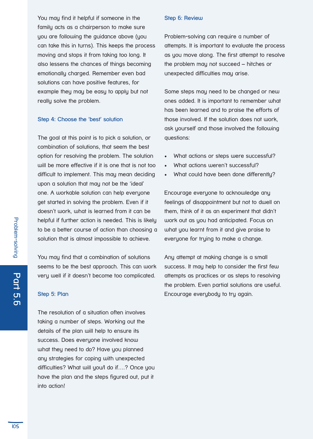You may find it helpful if someone in the family acts as a chairperson to make sure you are following the guidance above (you can take this in turns). This keeps the process moving and stops it from taking too long. It also lessens the chances of things becoming emotionally charged. Remember even bad solutions can have positive features, for example they may be easy to apply but not really solve the problem.

## **Step 4: Choose the 'best' solution**

The goal at this point is to pick a solution, or combination of solutions, that seem the best option for resolving the problem. The solution will be more effective if it is one that is not too difficult to implement. This may mean deciding upon a solution that may not be the 'ideal' one. A workable solution can help everyone get started in solving the problem. Even if it doesn't work, what is learned from it can be helpful if further action is needed. This is likely to be a better course of action than choosing a solution that is almost impossible to achieve.

You may find that a combination of solutions seems to be the best approach. This can work very well if it doesn't become too complicated.

#### **Step 5: Plan**

The resolution of a situation often involves taking a number of steps. Working out the details of the plan will help to ensure its success. Does everyone involved know what they need to do? Have you planned any strategies for coping with unexpected difficulties? What will you/I do if….? Once you have the plan and the steps figured out, put it into action!

#### **Step 6: Review**

Problem-solving can require a number of attempts. It is important to evaluate the process as you move along. The first attempt to resolve the problem may not succeed – hitches or unexpected difficulties may arise.

Some steps may need to be changed or new ones added. It is important to remember what has been learned and to praise the efforts of those involved. If the solution does not work, ask yourself and those involved the following questions:

- What actions or steps were successful?
- What actions weren't successful?
- What could have been done differently?

Encourage everyone to acknowledge any feelings of disappointment but not to dwell on them, think of it as an experiment that didn't work out as you had anticipated. Focus on what you learnt from it and give praise to everyone for trying to make a change.

Any attempt at making change is a small success. It may help to consider the first few attempts as practices or as steps to resolving the problem. Even partial solutions are useful. Encourage everybody to try again.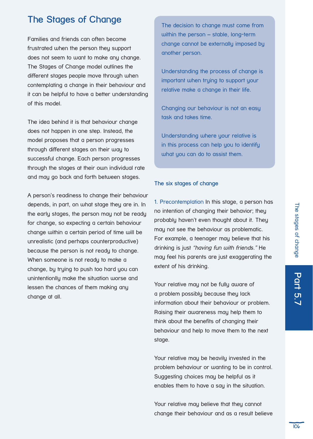# The stages of change The stages of change

## **The Stages of Change**

Families and friends can often become frustrated when the person they support does not seem to want to make any change. The Stages of Change model outlines the different stages people move through when contemplating a change in their behaviour and it can be helpful to have a better understanding of this model.

The idea behind it is that behaviour change does not happen in one step. Instead, the model proposes that a person progresses through different stages on their way to successful change. Each person progresses through the stages at their own individual rate and may go back and forth between stages.

A person's readiness to change their behaviour depends, in part, on what stage they are in. In the early stages, the person may not be ready for change, so expecting a certain behaviour change within a certain period of time will be unrealistic (and perhaps counterproductive) because the person is not ready to change. When someone is not ready to make a change, by trying to push too hard you can unintentionlly make the situation worse and lessen the chances of them making any change at all.

The decision to change must come from within the person – stable, long-term change cannot be externally imposed by another person.

Understanding the process of change is important when trying to support your relative make a change in their life.

Changing our behaviour is not an easy task and takes time.

Understanding where your relative is in this process can help you to identify what you can do to assist them.

## **The six stages of change**

1. Precontemplation In this stage, a person has no intention of changing their behavior; they probably haven't even thought about it. They may not see the behaviour as problematic. For example, a teenager may believe that his drinking is just "having fun with friends." He may feel his parents are just exaggerating the extent of his drinking.

Your relative may not be fully aware of a problem possibly because they lack information about their behaviour or problem. Raising their awareness may help them to think about the benefits of changing their behaviour and help to move them to the next stage.

Your relative may be heavily invested in the problem behaviour or wanting to be in control. Suggesting choices may be helpful as it enables them to have a say in the situation.

Your relative may believe that they cannot change their behaviour and as a result believe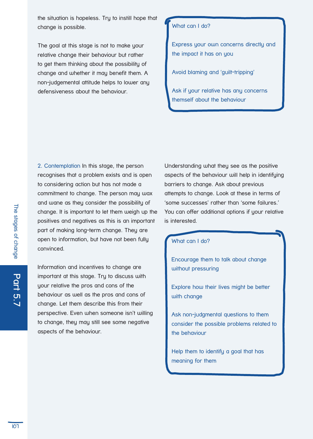the situation is hopeless. Try to instill hope that change is possible.

The goal at this stage is not to make your relative change their behaviour but rather to get them thinking about the possibility of change and whether it may benefit them. A non-judgemental attitude helps to lower any defensiveness about the behaviour.

### What can I do?

Express your own concerns directly and the impact it has on you

Avoid blaming and 'guilt-tripping'

Ask if your relative has any concerns themself about the behaviour

2. Contemplation In this stage, the person recognises that a problem exists and is open to considering action but has not made a commitment to change. The person may wax and wane as they consider the possibility of change. It is important to let them weigh up the positives and negatives as this is an important part of making long-term change. They are open to information, but have not been fully convinced.

Information and incentives to change are important at this stage. Try to discuss with your relative the pros and cons of the behaviour as well as the pros and cons of change. Let them describe this from their perspective. Even when someone isn't willing to change, they may still see some negative aspects of the behaviour.

Understanding what they see as the positive aspects of the behaviour will help in identifying barriers to change. Ask about previous attempts to change. Look at these in terms of 'some successes' rather than 'some failures.' You can offer additional options if your relative is interested.

## What can I do?

Encourage them to talk about change without pressuring

Explore how their lives might be better with change

Ask non-judgmental questions to them consider the possible problems related to the behaviour

Help them to identify a goal that has meaning for them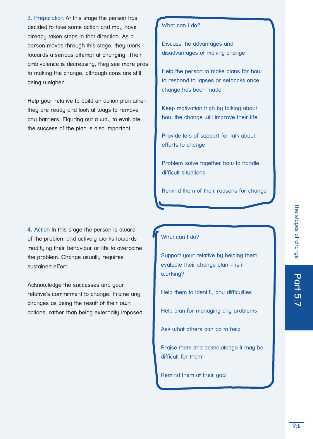3. Preparation At this stage the person has decided to take some action and may have already taken steps in that direction. As a person moves through this stage, they work towards a serious attempt at changing. Their ambivalence is decreasing, they see more pros to making the change, although cons are still being weighed.

Help your relative to build an action plan when they are ready and look at ways to remove any barriers. Figuring out a way to evaluate the success of the plan is also important.

4. Action In this stage the person is aware of the problem and actively works towards modifying their behaviour or life to overcome the problem. Change usually requires sustained effort.

Acknowledge the successes and your relative's commitment to change. Frame any changes as being the result of their own actions, rather than being externally imposed.

## What can I do?

Discuss the advantages and disadvantages of making change

Help the person to make plans for how to respond to lapses or setbacks once change has been made

Keep motivation high by talking about how the change will improve their life

Provide lots of support for talk about efforts to change

Problem-solve together how to handle difficult situations

Remind them of their reasons for change

## What can I do?

Support your relative by helping them evaluate their change plan – is it working?

Help them to identify any difficulties

Help plan for managing any problems

Ask what others can do to help

Praise them and acknowledge it may be difficult for them

Remind them of their goal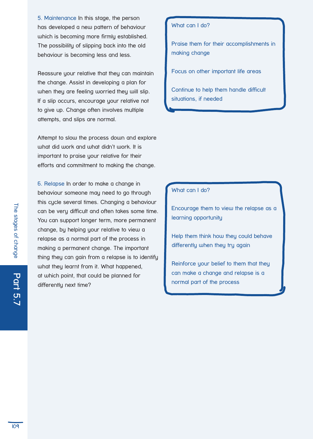5. Maintenance In this stage, the person has developed a new pattern of behaviour which is becoming more firmly established. The possibility of slipping back into the old behaviour is becoming less and less.

Reassure your relative that they can maintain the change. Assist in developing a plan for when they are feeling worried they will slip. If a slip occurs, encourage your relative not to give up. Change often involves multiple attempts, and slips are normal.

Attempt to slow the process down and explore what did work and what didn't work. It is important to praise your relative for their efforts and commitment to making the change.

6. Relapse In order to make a change in behaviour someone may need to go through this cycle several times. Changing a behaviour can be very difficult and often takes some time. You can support longer term, more permanent change, by helping your relative to view a relapse as a normal part of the process in making a permanent change. The important thing they can gain from a relapse is to identify what they learnt from it. What happened, at which point, that could be planned for differently next time?

## What can I do?

Praise them for their accomplishments in making change

Focus on other important life areas

Continue to help them handle difficult situations, if needed

## What can I do?

Encourage them to view the relapse as a learning opportunity

Help them think how they could behave differently when they try again

Reinforce your belief to them that they can make a change and relapse is a normal part of the process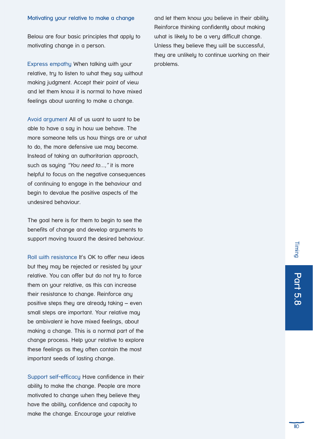#### **Motivating your relative to make a change**

Below are four basic principles that apply to motivating change in a person.

Express empathy When talking with your relative, tru to listen to what they say without making judgment. Accept their point of view and let them know it is normal to have mixed feelings about wanting to make a change.

Avoid argument All of us want to want to be able to have a say in how we behave. The more someone tells us how things are or what to do, the more defensive we may become. Instead of taking an authoritarian approach, such as saying "You need to...," it is more helpful to focus on the negative consequences of continuing to engage in the behaviour and begin to devalue the positive aspects of the undesired behaviour.

The goal here is for them to begin to see the benefits of change and develop arguments to support moving toward the desired behaviour.

Roll with resistance It's OK to offer new ideas but they may be rejected or resisted by your relative. You can offer but do not try to force them on your relative, as this can increase their resistance to change. Reinforce any positive steps they are already taking – even small steps are important. Your relative may be ambivalent ie have mixed feelings, about making a change. This is a normal part of the change process. Help your relative to explore these feelings as they often contain the most important seeds of lasting change.

Support self-efficacy Have confidence in their ability to make the change. People are more motivated to change when they believe they have the ability, confidence and capacity to make the change. Encourage your relative

and let them know you believe in their ability. Reinforce thinking confidently about making what is likely to be a very difficult change. Unless they believe they will be successful, they are unlikely to continue working on their problems.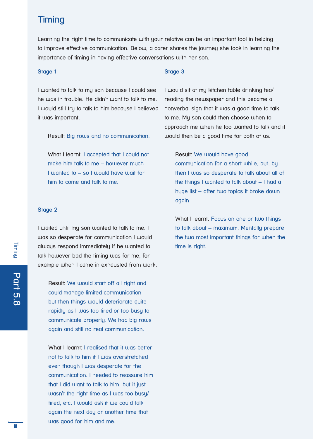## **Timing**

Learning the right time to communicate with your relative can be an important tool in helping to improve effective communication. Below, a carer shares the journey she took in learning the importance of timing in having effective conversations with her son.

#### **Stage 1**

I wanted to talk to my son because I could see he was in trouble. He didn't want to talk to me. I would still try to talk to him because I believed it was important.

Result: Big rows and no communication.

What I learnt: I accepted that I could not make him talk to me – however much I wanted to – so I would have wait for him to come and talk to me.

#### **Stage 2**

I waited until my son wanted to talk to me. I was so desperate for communication I would always respond immediately if he wanted to talk however bad the timing was for me, for example when I came in exhausted from work.

Result: We would start off all right and could manage limited communication but then things would deteriorate quite rapidly as I was too tired or too busy to communicate properly. We had big rows again and still no real communication.

What I learnt: I realised that it was better not to talk to him if I was overstretched even though I was desperate for the communication. I needed to reassure him that I did want to talk to him, but it just wasn't the right time as I was too busy/ tired, etc. I would ask if we could talk again the next day or another time that was good for him and me.

## **Stage 3**

I would sit at my kitchen table drinking tea/ reading the newspaper and this became a nonverbal sign that it was a good time to talk to me. My son could then choose when to approach me when he too wanted to talk and it would then be a good time for both of us.

Result: We would have good communication for a short while, but, by then I was so desperate to talk about all of the things I wanted to talk about – I had a huge list – after two topics it broke down again.

What I learnt: Focus on one or two things to talk about – maximum. Mentally prepare the two most important things for when the time is right.

**Part 5.8**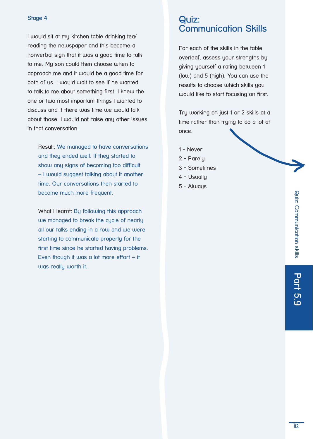## **Stage 4**

I would sit at my kitchen table drinking tea/ reading the newspaper and this became a nonverbal sign that it was a good time to talk to me. My son could then choose when to approach me and it would be a good time for both of us. I would wait to see if he wanted to talk to me about something first. I knew the one or two most important things I wanted to discuss and if there was time we would talk about those. I would not raise any other issues in that conversation.

Result: We managed to have conversations and they ended well. If they started to show any signs of becoming too difficult – I would suggest talking about it another time. Our conversations then started to become much more frequent.

What I learnt: By following this approach we managed to break the cycle of nearly all our talks ending in a row and we were starting to communicate properly for the first time since he started having problems. Even though it was a lot more effort – it was really worth it.

## **Quiz: Communication Skills**

For each of the skills in the table overleaf, assess your strengths by giving yourself a rating between 1 (low) and 5 (high). You can use the results to choose which skills you would like to start focusing on first.

Try working on just 1 or 2 skills at a time rather than trying to do a lot at once.

- 1 Never
- 2 Rarely
- 3 Sometimes
- 4 Usually
- 5 Always